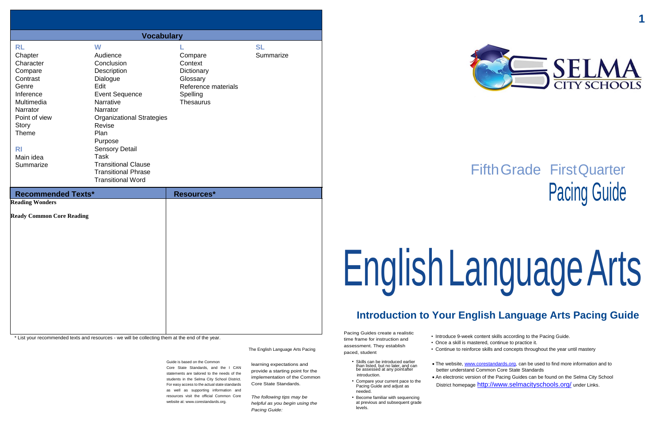**1**

# FifthGrade FirstQuarter Pacing Guide

# EnglishLanguageArts

# **Introduction to Your English Language Arts Pacing Guide**

\* List your recommended texts and resources - we will be collecting them at the end of the year.

The English Language Arts Pacing

Pacing Guides create a realistic time frame for instruction and assessment. They establish paced, student

• Introduce 9-week content skills according to the Pacing Guide. • Once a skill is mastered, continue to practice it. • Continue to reinforce skills and concepts throughout the year until mastery

Guide is based on the Common Core State Standards, and the I CAN statements are tailored to the needs of the students in the Selma City School District. For easy access to the actual state standards as well as supporting information and resources visit the official Common Core website at: [www.corestandards.org.](http://www.corestandards.org/)

• The website[, www.corestandards.org,](http://www.corestandards.org/) can be used to find more information and to better understand Common Core State Standards An electronic version of the Pacing Guides can be found on the Selma City School District homepage <http://www.selmacityschools.org/> under Links.

learning expectations and provide a starting point for the implementation of the Common Core State Standards.

*The following tips may be helpful as you begin using the Pacing Guide:*

- Skills can be introduced earlier than listed, but no later, and can be assessed at any pointafter introduction.
- Compare your current pace to the Pacing Guide and adjust as needed.
- Become familiar with sequencing at previous and subsequent grade levels.

- 
- 
- 
- 



| <b>Vocabulary</b>                                                                                                                                                                         |                                                                                                                                                                                                                                                                                                                   |                                                                                                     |                        |  |  |
|-------------------------------------------------------------------------------------------------------------------------------------------------------------------------------------------|-------------------------------------------------------------------------------------------------------------------------------------------------------------------------------------------------------------------------------------------------------------------------------------------------------------------|-----------------------------------------------------------------------------------------------------|------------------------|--|--|
| <b>RL</b><br>Chapter<br>Character<br>Compare<br>Contrast<br>Genre<br>Inference<br>Multimedia<br>Narrator<br>Point of view<br><b>Story</b><br>Theme<br><b>RI</b><br>Main idea<br>Summarize | W<br>Audience<br>Conclusion<br>Description<br>Dialogue<br>Edit<br><b>Event Sequence</b><br><b>Narrative</b><br>Narrator<br><b>Organizational Strategies</b><br>Revise<br>Plan<br>Purpose<br><b>Sensory Detail</b><br>Task<br><b>Transitional Clause</b><br><b>Transitional Phrase</b><br><b>Transitional Word</b> | Compare<br>Context<br>Dictionary<br>Glossary<br>Reference materials<br>Spelling<br><b>Thesaurus</b> | <b>SL</b><br>Summarize |  |  |
| <b>Recommended Texts*</b>                                                                                                                                                                 |                                                                                                                                                                                                                                                                                                                   | Resources*                                                                                          |                        |  |  |
| <b>Reading Wonders</b><br><b>Ready Common Core Reading</b>                                                                                                                                |                                                                                                                                                                                                                                                                                                                   |                                                                                                     |                        |  |  |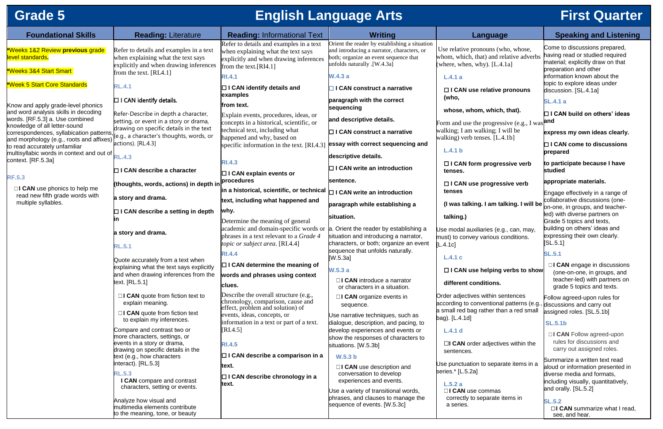# **Grade 5 English Language Arts First Quarter**

| <b>Foundational Skills</b>                                                           | <b>Reading: Literature</b>                                                                                                                          | <b>Reading: Informational Text</b>                                                                                                                  | <b>Writing</b>                                                                                                                                                      | <b>Language</b>                                                                                                           | <b>Speaking and Listening</b>                                                                                                  |
|--------------------------------------------------------------------------------------|-----------------------------------------------------------------------------------------------------------------------------------------------------|-----------------------------------------------------------------------------------------------------------------------------------------------------|---------------------------------------------------------------------------------------------------------------------------------------------------------------------|---------------------------------------------------------------------------------------------------------------------------|--------------------------------------------------------------------------------------------------------------------------------|
| *Weeks 1&2 Review previous grade<br>level standards.<br>*Weeks 3&4 Start Smart       | Refer to details and examples in a text<br>when explaining what the text says<br>explicitly and when drawing inferences<br>from the text. $[RL4.1]$ | Refer to details and examples in a text<br>when explaining what the text says<br>explicitly and when drawing inferences<br>from the text. $[RI4.1]$ | Orient the reader by establishing a situation<br>and introducing a narrator, characters, or<br>both; organize an event sequence that<br>[W.4.3a]. unfolds naturally | Use relative pronouns (who, whose,<br>whom, which, that) and relative adverbs<br>(where, when, why). $[L.4.1a]$           | Come to discussions prepared,<br>having read or studied required<br>material; explicitly draw on that<br>preparation and other |
| *Week 5 Start Core Standards                                                         |                                                                                                                                                     | <b>RI.4.1</b>                                                                                                                                       | <b>W.4.3 a</b>                                                                                                                                                      | L.4.1a                                                                                                                    | information known about the<br>topic to explore ideas under                                                                    |
|                                                                                      | <b>RL.4.1</b>                                                                                                                                       | $\Box$ I CAN identify details and<br>examples                                                                                                       | $\Box$ I CAN construct a narrative                                                                                                                                  | □ I CAN use relative pronouns<br>(who,                                                                                    | discussion. [SL.4.1a]                                                                                                          |
| Know and apply grade-level phonics<br>and word analysis skills in decoding           | $\Box$ I CAN identify details.<br>Refer-Describe in depth a character,                                                                              | from text.<br>Explain events, procedures, ideas, or                                                                                                 | paragraph with the correct<br>sequencing                                                                                                                            | whose, whom, which, that).                                                                                                | <b>SL.4.1 a</b><br>$\Box$ I CAN build on others' ideas                                                                         |
| words. [RF.5.3] a. Use combined<br>knowledge of all letter-sound                     | setting, or event in a story or drama,                                                                                                              | concepts in a historical, scientific, or                                                                                                            | and descriptive details.                                                                                                                                            | Form and use the progressive (e.g., I was and                                                                             |                                                                                                                                |
| correspondences, syllabication patterns,<br>and morphology (e.g., roots and affixes) | drawing on specific details in the text<br>(e.g., a character's thoughts, words, or                                                                 | technical text, including what<br>happened and why, based on                                                                                        | $\Box$ I CAN construct a narrative                                                                                                                                  | walking; I am walking; I will be<br>walking) verb tenses. [L.4.1b]                                                        | express my own ideas clearly.                                                                                                  |
| to read accurately unfamiliar                                                        | actions). [RL.4.3]                                                                                                                                  | specific information in the text. [RI.4.3]                                                                                                          | essay with correct sequencing and                                                                                                                                   | L.4.1 b                                                                                                                   | $\Box$ I CAN come to discussions<br>prepared                                                                                   |
| multisyllabic words in context and out of <b>RL.4.3</b><br>context. [RF.5.3a]        |                                                                                                                                                     | <b>RI.4.3</b>                                                                                                                                       | descriptive details.                                                                                                                                                | □ I CAN form progressive verb                                                                                             | to participate because I have                                                                                                  |
| <b>RF.5.3</b>                                                                        | $\Box$ I CAN describe a character                                                                                                                   | $\Box$ I CAN explain events or                                                                                                                      | $\Box$ I CAN write an introduction                                                                                                                                  | tenses.                                                                                                                   | studied                                                                                                                        |
| $\Box$ <b>CAN</b> use phonics to help me                                             | (thoughts, words, actions) in depth in                                                                                                              | procedures<br>In a historical, scientific, or technical $\Box$ I CAN write an introduction                                                          | sentence.                                                                                                                                                           | □ I CAN use progressive verb<br>tenses                                                                                    | appropriate materials.                                                                                                         |
| read new fifth grade words with<br>multiple syllables.                               | a story and drama.                                                                                                                                  | text, including what happened and                                                                                                                   | paragraph while establishing a                                                                                                                                      | (I was talking. I am talking. I will be                                                                                   | Engage effectively in a range of<br>collaborative discussions (one-                                                            |
|                                                                                      | $\Box$ I CAN describe a setting in depth                                                                                                            | why.                                                                                                                                                | situation.                                                                                                                                                          | talking.)                                                                                                                 | on-one, in groups, and teacher-<br>led) with diverse partners on                                                               |
|                                                                                      | a story and drama.                                                                                                                                  | Determine the meaning of general<br>academic and domain-specific words or<br>phrases in a text relevant to a <i>Grade 4</i>                         | a. Orient the reader by establishing a<br>situation and introducing a narrator,                                                                                     | Use modal auxiliaries (e.g., can, may,<br>must) to convey various conditions.                                             | Grade 5 topics and texts,<br>building on others' ideas and<br>expressing their own clearly.                                    |
|                                                                                      | <b>RL.5.1</b>                                                                                                                                       | topic or subject area. [RI.4.4]<br><b>RI.4.4</b>                                                                                                    | characters, or both; organize an event<br>sequence that unfolds naturally.                                                                                          | [L.4.1c]<br>L.4.1c                                                                                                        | [SL.5.1]<br><b>SL.5.1</b>                                                                                                      |
|                                                                                      | Quote accurately from a text when<br>explaining what the text says explicitly                                                                       | $\Box$ I CAN determine the meaning of                                                                                                               | [W.5.3a]<br>W.5.3a                                                                                                                                                  | □ I CAN use helping verbs to show                                                                                         | $\Box$ <b>CAN</b> engage in discussions                                                                                        |
|                                                                                      | and when drawing inferences from the<br>text. [RL.5.1]                                                                                              | words and phrases using context<br>clues.                                                                                                           | $\Box$ <b>CAN</b> introduce a narrator<br>or characters in a situation.                                                                                             | different conditions.                                                                                                     | (one-on-one, in groups, and<br>teacher-led) with partners on<br>grade 5 topics and texts.                                      |
|                                                                                      | $\Box$ <b>CAN</b> quote from fiction text to<br>explain meaning.                                                                                    | Describe the overall structure (e.g.,<br>chronology, comparison, cause and<br>effect, problem and solution) of                                      | $\Box$ <b>CAN</b> organize events in<br>sequence.                                                                                                                   | Order adjectives within sentences<br>according to conventional patterns (e.g.,<br>a small red bag rather than a red small | Follow agreed-upon rules for<br>discussions and carry out                                                                      |
|                                                                                      | $\Box$ <b>CAN</b> quote from fiction text<br>to explain my inferences.                                                                              | events, ideas, concepts, or<br>information in a text or part of a text.                                                                             | Use narrative techniques, such as<br>dialogue, description, and pacing, to                                                                                          | bag). [L.4.1d]                                                                                                            | assigned roles. [SL.5.1b]<br><b>SL.5.1b</b>                                                                                    |
|                                                                                      | Compare and contrast two or<br>more characters, settings, or<br>events in a story or drama,                                                         | $\left[ \text{RI}.4.5 \right]$                                                                                                                      | develop experiences and events or<br>show the responses of characters to                                                                                            | L.4.1 d<br>$\Box$ CAN order adjectives within the                                                                         | □ I CAN Follow agreed-upon<br>rules for discussions and                                                                        |
|                                                                                      | drawing on specific details in the<br>text (e.g., how characters                                                                                    | <b>RI.4.5</b><br>$\Box$ I CAN describe a comparison in a                                                                                            | situations. [W.5.3b]<br>W.5.3 b                                                                                                                                     | sentences.                                                                                                                | carry out assigned roles.                                                                                                      |
|                                                                                      | interact). [RL.5.3]<br><b>RL.5.3</b><br>I CAN compare and contrast                                                                                  | text.<br>$\Box$ I CAN describe chronology in a                                                                                                      | $\Box$ <b>CAN</b> use description and<br>conversation to develop<br>experiences and events.                                                                         | Use punctuation to separate items in a<br>series.* [L.5.2a]                                                               | Summarize a written text read<br>aloud or information presented in<br>diverse media and formats,                               |
|                                                                                      | characters, setting or events.                                                                                                                      | text.                                                                                                                                               | Use a variety of transitional words,                                                                                                                                | L.5.2a<br>□ I CAN use commas                                                                                              | including visually, quantitatively,<br>and orally. [SL.5.2]                                                                    |
|                                                                                      | Analyze how visual and<br>multimedia elements contribute<br>to the meaning, tone, or beauty                                                         |                                                                                                                                                     | phrases, and clauses to manage the<br>sequence of events. [W.5.3c]                                                                                                  | correctly to separate items in<br>a series.                                                                               | <b>SL.5.2</b><br>$\Box$ <b>CAN</b> summarize what I read,<br>see, and hear.                                                    |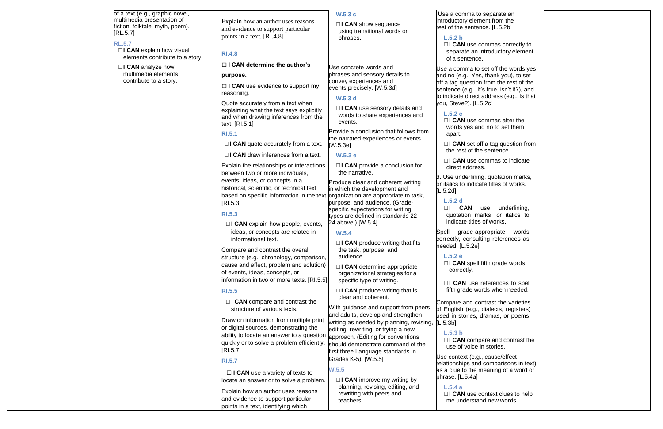of a text (e.g., graphic novel, multimedia presentation of fiction, folktale, myth, poem). [RL.5.7]

□**I CAN** explain how visual elements contribute to a story.

## **RL.5.7**

□**I CAN** analyze how multimedia elements contribute to a story.

**□ I CAN** use evidence to support my reasoning.

Explain how an author uses reasons and evidence to support particular points in a text. [RI.4.8]

# **RI.4.8**

☐ **I CAN determine the author's**

## **purpose.**

Quote accurately from a text when explaining what the text says explicitly and when drawing inferences from the text. [RI.5.1]

# **RI.5.1**

□**I CAN** quote accurately from a text.

□**I CAN** draw inferences from a text.

□ **I CAN** use a variety of texts to locate an answer or to solve a problem.

Explain the relationships or interactions between two or more individuals, events, ideas, or concepts in a historical, scientific, or technical text based on specific information in the text. organization are appropriate to task, [RI.5.3]

# **RI.5.3**

☐ **I CAN** explain how people, events, ideas, or concepts are related in informational text.

□**I CAN** use sensory details and words to share experiences and events.

Compare and contrast the overall structure (e.g., chronology, comparison, cause and effect, problem and solution) of events, ideas, concepts, or information in two or more texts. [RI.5.5] □**I CAN** produce writing that fits the task, purpose, and audience.

# **RI.5.5**

☐ I **CAN** compare and contrast the structure of various texts.

□**I CAN** produce writing that is clear and coherent.

Draw on information from multiple print or digital sources, demonstrating the ability to locate an answer to a question quickly or to solve a problem efficiently. [RI.5.7]

# **RI.5.7**

□**I CAN** use cor separate an inti of a sentence.

Use a comma to set and no (e.g., Yes, off a tag question fr sentence (e.g., It's to indicate direct ad you, Steve?). [L.5.2

Explain how an author uses reasons and evidence to support particular points in a text, identifying which

## **W.5.3 c**

☐ **I CAN** show sequence using transitional words or phrases.

> □**I CAN** use com words yes and apart.

**□I CAN set off** the rest of the s

□**I CAN** use con direct address.

Use concrete words and phrases and sensory details to convey experiences and events precisely. [W.5.3d]

> d. Use underlining, or italics to indicate [L.5.2d]

# **W.5.3 d**

Spell grade-appr correctly, consultin needed. [L.5.2e]

Provide a conclusion that follows from the narrated experiences or events. [W.5.3e]

## **W.5.3 e**

☐ **I CAN** provide a conclusion for the narrative.

> Use context (e.g., o relationships and compare as a clue to the me phrase. [L.5.4a]

Produce clear and coherent writing in which the development and purpose, and audience. (Gradespecific expectations for writing types are defined in standards 22- 24 above.) [W.5.4]

# **W.5.4**

☐ **I CAN** determine appropriate organizational strategies for a specific type of writing.

With guidance and support from peers and adults, develop and strengthen writing as needed by planning, revising, editing, rewriting, or trying a new approach. (Editing for conventions should demonstrate command of the first three Language standards in Grades K-5). [W.5.5]

# **W.5.5**

☐ **I CAN** improve my writing by planning, revising, editing, and rewriting with peers and teachers.

Use a comma to se ntroductory elemer rest of the sentence

### **L.5.2 b**

### **L.5.2 c**

# **L.5.2 d**

□**I** CAN us quotation mark indicate titles of

### **L.5.2 e** □**I CAN** spell fift correctly.

□**I CAN** use ref fifth grade word

Compare and cont of English (e.g., di used in stories, dra  $[L.5.3b]$ 

# **L.5.3 b**

□ **I CAN** compare use of voice in

# **L.5.4 a**

**□I CAN** use cont me understand

| eparate an<br>nt from the<br>e. [L.5.2b]                                                                                   |  |
|----------------------------------------------------------------------------------------------------------------------------|--|
| mmas correctly to<br>roductory element                                                                                     |  |
| et off the words yes<br>thank you), to set<br>rom the rest of the<br>true, isn't it?), and<br>ddress (e.g., Is that<br>2c] |  |
| mmas after the<br>no to set them                                                                                           |  |
| a tag question from<br>sentence.                                                                                           |  |
| mmas to indicate                                                                                                           |  |
| , quotation marks,<br>e titles of works.                                                                                   |  |
| se underlining,<br>ks, or italics to<br>f works.                                                                           |  |
| ropriate words<br>ng references as                                                                                         |  |
| th grade words                                                                                                             |  |
| ferences to spell<br>ds when needed.                                                                                       |  |
| trast the varieties<br>ialects, registers)<br>amas, or poems.                                                              |  |
| re and contrast the<br>stories.                                                                                            |  |
| cause/effect<br>comparisons in text)<br>eaning of a word or                                                                |  |
| ntext clues to help<br>I new words.                                                                                        |  |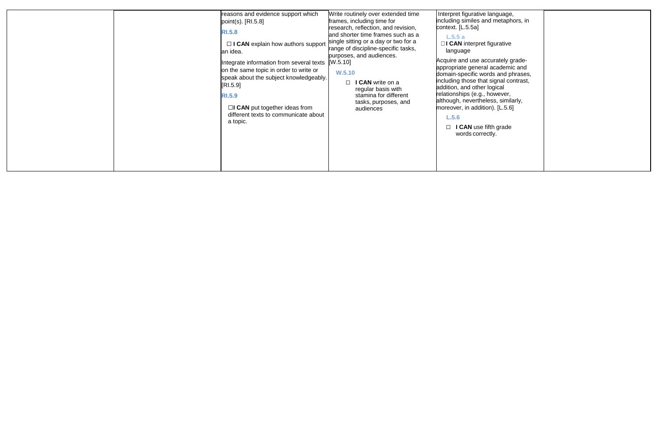| reasons and evidence support which<br>point(s). $[R1.5.8]$<br><b>RI.5.8</b><br>$\Box$ I CAN explain how authors support<br>an idea.<br>Integrate information from several texts<br>on the same topic in order to write or<br>speak about the subject knowledgeably.<br>[RL.5.9]<br><b>RI.5.9</b><br>$\Box$ CAN put together ideas from<br>different texts to communicate about<br>a topic. | Write routinely over extended time<br>frames, including time for<br>research, reflection, and revision,<br>and shorter time frames such as a<br>single sitting or a day or two for a<br>range of discipline-specific tasks,<br>purposes, and audiences.<br>[W.5.10]<br>W.5.10<br>I CAN write on a<br>П<br>regular basis with<br>stamina for different<br>tasks, purposes, and<br>audiences | Interpret figurative language,<br>including similes and metaphors, in<br>context. [L.5.5a]<br>L.5.5a<br>$\Box$ I CAN interpret figurative<br>language<br>Acquire and use accurately grade-<br>appropriate general academic and<br>domain-specific words and phrases,<br>including those that signal contrast,<br>addition, and other logical<br>relationships (e.g., however,<br>although, nevertheless, similarly,<br>moreover, in addition). [L.5.6]<br>L.5.6<br><b>I CAN</b> use fifth grade<br>words correctly. |
|--------------------------------------------------------------------------------------------------------------------------------------------------------------------------------------------------------------------------------------------------------------------------------------------------------------------------------------------------------------------------------------------|--------------------------------------------------------------------------------------------------------------------------------------------------------------------------------------------------------------------------------------------------------------------------------------------------------------------------------------------------------------------------------------------|---------------------------------------------------------------------------------------------------------------------------------------------------------------------------------------------------------------------------------------------------------------------------------------------------------------------------------------------------------------------------------------------------------------------------------------------------------------------------------------------------------------------|
|--------------------------------------------------------------------------------------------------------------------------------------------------------------------------------------------------------------------------------------------------------------------------------------------------------------------------------------------------------------------------------------------|--------------------------------------------------------------------------------------------------------------------------------------------------------------------------------------------------------------------------------------------------------------------------------------------------------------------------------------------------------------------------------------------|---------------------------------------------------------------------------------------------------------------------------------------------------------------------------------------------------------------------------------------------------------------------------------------------------------------------------------------------------------------------------------------------------------------------------------------------------------------------------------------------------------------------|

| language,<br>d metaphors, in                                                                                                          |  |
|---------------------------------------------------------------------------------------------------------------------------------------|--|
| figurative                                                                                                                            |  |
| curately grade-<br>I academic and<br>rds and phrases,<br>t signal contrast,<br>logical<br>however,<br>ess, similarly,<br>on). [L.5.6] |  |
| ifth grade<br>ctly.                                                                                                                   |  |
|                                                                                                                                       |  |
|                                                                                                                                       |  |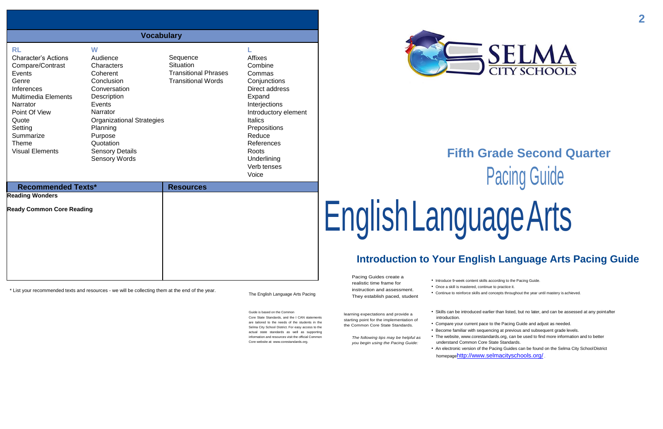# **Fifth Grade Second Quarter** Pacing Guide guageArts

# **English Language Arts Pacing Guide**

\* List your recommended texts and resources - we will be collecting them at the end of the year.

The English Language Arts Pacing

Pacing Guides create a realistic time frame for instruction and assessment.

They establish paced, student

• Continue to reinforce skills and concepts throughout the year until mastery is achieved.

Guide is based on the Common Core State Standards, and the I CAN statements

are tailored to the needs of the students in the Selma City School District. For easy access to the actual state standards as well as supporting information and resources visit the official Common Core website at[: www.corestandards.org.](http://www.corestandards.org/)

- Introduce 9-week content skills according to the Pacing Guide.
- Once a skill is mastered, continue to practice it.
- 
- introduction.
- 
- - understand Common Core State Standards.
	-



learning expectations and provide a starting point for the implementation of the Common Core State Standards.

> *The following tips may be helpful as you begin using the Pacing Guide:*

• Skills can be introduced earlier than listed, but no later, and can be assessed at any pointafter

• Compare your current pace to the Pacing Guide and adjust as needed.

• Become familiar with sequencing at previous and subsequent grade levels.

• The website, [www.corestandards.org,](http://www.corestandards.org/) can be used to find more information and to better

• An electronic version of the Pacing Guides can be found on the Selma City SchoolDistrict homepage<http://www.selmacityschools.org/> .

|                                                                                                                                                                                                                                                  | <b>Vocabulary</b>                                                                                                                                                                                                                    |                                                                                          |                                                                                                                                                                                                                                           |                                                                                                  |
|--------------------------------------------------------------------------------------------------------------------------------------------------------------------------------------------------------------------------------------------------|--------------------------------------------------------------------------------------------------------------------------------------------------------------------------------------------------------------------------------------|------------------------------------------------------------------------------------------|-------------------------------------------------------------------------------------------------------------------------------------------------------------------------------------------------------------------------------------------|--------------------------------------------------------------------------------------------------|
| <b>RL</b><br><b>Character's Actions</b><br>Compare/Contrast<br>Events<br>Genre<br><b>Inferences</b><br><b>Multimedia Elements</b><br><b>Narrator</b><br>Point Of View<br>Quote<br>Setting<br>Summarize<br><b>Theme</b><br><b>Visual Elements</b> | W<br>Audience<br>Characters<br>Coherent<br>Conclusion<br>Conversation<br>Description<br>Events<br>Narrator<br><b>Organizational Strategies</b><br>Planning<br>Purpose<br>Quotation<br><b>Sensory Details</b><br><b>Sensory Words</b> | Sequence<br><b>Situation</b><br><b>Transitional Phrases</b><br><b>Transitional Words</b> | <b>Affixes</b><br>Combine<br>Commas<br>Conjunctions<br>Direct address<br>Expand<br>Interjections<br>Introductory element<br><b>Italics</b><br>Prepositions<br>Reduce<br>References<br><b>Roots</b><br>Underlining<br>Verb tenses<br>Voice | Fi                                                                                               |
| <b>Recommended Texts*</b><br><b>Reading Wonders</b><br><b>Ready Common Core Reading</b>                                                                                                                                                          |                                                                                                                                                                                                                                      | <b>Resources</b>                                                                         |                                                                                                                                                                                                                                           | EnglishLang                                                                                      |
|                                                                                                                                                                                                                                                  |                                                                                                                                                                                                                                      |                                                                                          |                                                                                                                                                                                                                                           | <b>Introduction to Your</b><br>$D_n \land \neg A_n \land \neg A_n \land \neg A_n \land \neg A_n$ |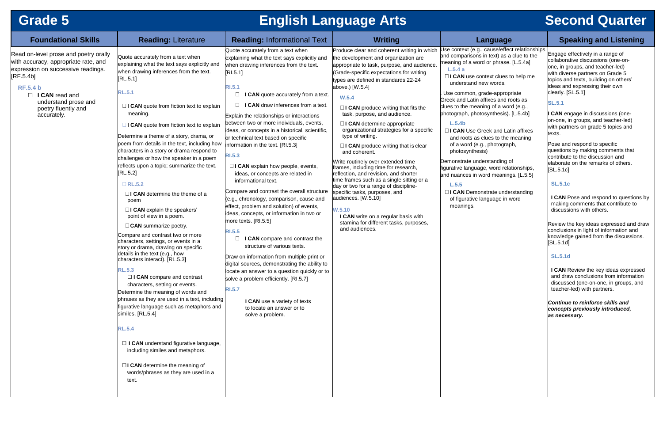# **Grade 5 English Language Arts Second Quarter**

# **Foundational Skills Reading:** Literature **Reading:** Informational Text **Writing Language Speaking and Listening**

Engage effectively in a range of collaborative discussions (one-onone, in groups, and teacher-led) with diverse partners on Grade 5 topics and texts, building on others' ideas and expressing their own clearly. [SL.5.1]

| <b>Foundational Skills</b>                                                                                                                                                                                                                 | <b>Reading: Literature</b>                                                                                                                                                                                                                                                                                                                                                                                                                                                                                                                                                                                                                                                                                                                                                                                                                                                                                                                                                                                                                                                                                                                                                                                                                                                                                                   | <b>Reading: Informational Text</b>                                                                                                                                                                                                                                                                                                                                                                                                                                                                                                                                                                                                                                                                                                                                                                                                                                                                                                                                                                                                                                                                                                                                                                | <b>Writing</b>                                                                                                                                                                                                                                                                                                                                                                                                                                                                                                                                                                                                                                                                                                                                                                                                                                                                              | Lan                                                                                                                                                                                                                                                                                                                                                                                                                                                                       |
|--------------------------------------------------------------------------------------------------------------------------------------------------------------------------------------------------------------------------------------------|------------------------------------------------------------------------------------------------------------------------------------------------------------------------------------------------------------------------------------------------------------------------------------------------------------------------------------------------------------------------------------------------------------------------------------------------------------------------------------------------------------------------------------------------------------------------------------------------------------------------------------------------------------------------------------------------------------------------------------------------------------------------------------------------------------------------------------------------------------------------------------------------------------------------------------------------------------------------------------------------------------------------------------------------------------------------------------------------------------------------------------------------------------------------------------------------------------------------------------------------------------------------------------------------------------------------------|---------------------------------------------------------------------------------------------------------------------------------------------------------------------------------------------------------------------------------------------------------------------------------------------------------------------------------------------------------------------------------------------------------------------------------------------------------------------------------------------------------------------------------------------------------------------------------------------------------------------------------------------------------------------------------------------------------------------------------------------------------------------------------------------------------------------------------------------------------------------------------------------------------------------------------------------------------------------------------------------------------------------------------------------------------------------------------------------------------------------------------------------------------------------------------------------------|---------------------------------------------------------------------------------------------------------------------------------------------------------------------------------------------------------------------------------------------------------------------------------------------------------------------------------------------------------------------------------------------------------------------------------------------------------------------------------------------------------------------------------------------------------------------------------------------------------------------------------------------------------------------------------------------------------------------------------------------------------------------------------------------------------------------------------------------------------------------------------------------|---------------------------------------------------------------------------------------------------------------------------------------------------------------------------------------------------------------------------------------------------------------------------------------------------------------------------------------------------------------------------------------------------------------------------------------------------------------------------|
| Read on-level prose and poetry orally<br>with accuracy, appropriate rate, and<br>expression on successive readings.<br>[RF.5.4b]<br><b>RF.5.4 b</b><br>$\Box$ I CAN read and<br>understand prose and<br>poetry fluently and<br>accurately. | Quote accurately from a text when<br>explaining what the text says explicitly and<br>when drawing inferences from the text.<br>[RL.5.1]<br><b>RL.5.1</b><br>$\Box$ I CAN quote from fiction text to explain<br>meaning.<br>$\Box$ I CAN quote from fiction text to explain<br>Determine a theme of a story, drama, or<br>poem from details in the text, including how<br>characters in a story or drama respond to<br>challenges or how the speaker in a poem<br>reflects upon a topic; summarize the text.<br>[RL.5.2]<br>$\Box$ RL.5.2<br>$\Box$ I CAN determine the theme of a<br>poem<br>□ I CAN explain the speakers'<br>point of view in a poem.<br>$\Box$ CAN summarize poetry.<br>Compare and contrast two or more<br>characters, settings, or events in a<br>story or drama, drawing on specific<br>details in the text (e.g., how<br>characters interact). [RL.5.3]<br><b>RL.5.3</b><br>$\Box$ I CAN compare and contrast<br>characters, setting or events.<br>Determine the meaning of words and<br>phrases as they are used in a text, including<br>figurative language such as metaphors and<br>similes. [RL.5.4]<br><b>RL.5.4</b><br>$\Box$ I CAN understand figurative language,<br>including similes and metaphors.<br>$\Box$ I CAN determine the meaning of<br>words/phrases as they are used in a<br>text. | Quote accurately from a text when<br>explaining what the text says explicitly and<br>when drawing inferences from the text.<br>[RI.5.1]<br><b>RI.5.1</b><br>$\Box$<br>I CAN quote accurately from a text.<br>I CAN draw inferences from a text.<br>Explain the relationships or interactions<br>between two or more individuals, events,<br>ideas, or concepts in a historical, scientific,<br>or technical text based on specific<br>information in the text. [RI.5.3]<br><b>RI.5.3</b><br>$\Box$ I CAN explain how people, events,<br>ideas, or concepts are related in<br>informational text.<br>Compare and contrast the overall structure<br>(e.g., chronology, comparison, cause and<br>effect, problem and solution) of events,<br>ideas, concepts, or information in two or<br>more texts. [RI.5.5]<br><b>RI.5.5</b><br>I CAN compare and contrast the<br>$\Box$<br>structure of various texts.<br>Draw on information from multiple print or<br>digital sources, demonstrating the ability to<br>locate an answer to a question quickly or to<br>solve a problem efficiently. [RI.5.7]<br><b>RI.5.7</b><br>I CAN use a variety of texts<br>to locate an answer or to<br>solve a problem. | Produce clear and coherent writing in which<br>the development and organization are<br>appropriate to task, purpose, and audience.<br>(Grade-specific expectations for writing<br>ypes are defined in standards 22-24<br>above.) [W.5.4]<br>W.5.4<br>$\Box$ <b>CAN</b> produce writing that fits the<br>task, purpose, and audience.<br>$\Box$ I CAN determine appropriate<br>organizational strategies for a specific<br>type of writing.<br>$\Box$ I CAN produce writing that is clear<br>and coherent.<br>Write routinely over extended time<br>frames, including time for research,<br>reflection, and revision, and shorter<br>time frames such as a single sitting or a<br>day or two for a range of discipline-<br>specific tasks, purposes, and<br>audiences. [W.5.10]<br>W.5.10<br>I CAN write on a regular basis with<br>stamina for different tasks, purposes,<br>and audiences. | Use context (e.g., ca<br>and comparisons in t<br>meaning of a word or<br>L.5.4a<br>□I CAN use conte:<br>understand new<br>Use common, grade<br><b>Greek and Latin affix</b><br>clues to the meaning<br>photograph, photosy<br>L.5.4 <sub>b</sub><br>□I CAN Use Greel<br>and roots as clue<br>of a word (e.g., p<br>photosynthesis)<br>Demonstrate underst<br>figurative language, v<br>and nuances in word<br>L.5.5<br>□I CAN Demonstr<br>of figurative lang<br>meanings. |

use/effect relationships text) as a clue to the r phrase. [L.5.4a]

xt clues to help me words.

e-appropriate es and roots as g of a word (e.g.,  $m$ thesis).  $[L.5.4b]$ 

**k** and Latin affixes es to the meaning bhotograph,

tanding of word relationships, d meanings. [L.5.5]

ate understanding uage in word

**I CAN** Pose and respond to questions by making comments that contribute to discussions with others.

Review the key ideas expressed and draw conclusions in light of information and knowledge gained from the discussions.  $[SL.5.1d]$ 

# **SL.5.1**

**I CAN** *e*ngage in discussions (oneon-one, in groups, and teacher-led) with partners on grade 5 topics and texts.

Pose and respond to specific questions by making comments that contribute to the discussion and elaborate on the remarks of others. [SL.5.1c]

# **SL.5.1c**

# **SL.5.1d**

**I CAN** Review the key ideas expressed and draw conclusions from information discussed (one-on-one, in groups, and teacher-led) with partners.

*Continue to reinforce skills and concepts previously introduced, as necessary.*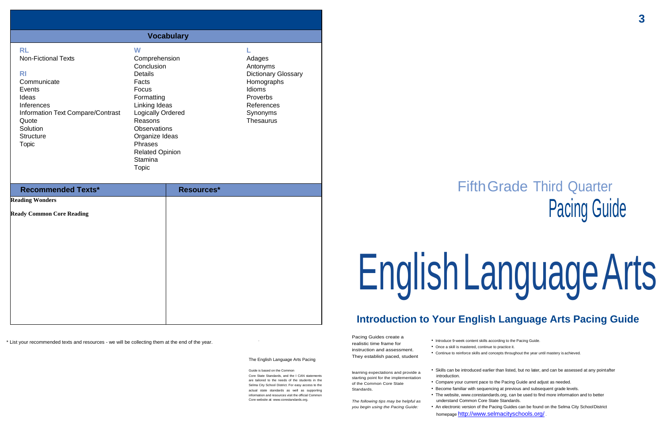# FifthGrade Third Quarter Pacing Guide

# EnglishLanguageArts

# **Interata) Inter Theodish Language Arts Pacing Guide**

\* List your recommended texts and resources - we will be collecting them at the end of the year.

.

The English Language Arts Pacing

Pacing Guides create a realistic time frame for instruction and assessment. They establish paced, student

• Introduce 9-week content skills according to the Pacing Guide.

- 
- Once a skill is mastered, continue to practice it.

• Continue to reinforce skills and concepts throughout the year until mastery is achieved.

Guide is based on the Common

Core State Standards, and the I CAN statements are tailored to the needs of the students in the Selma City School District. For easy access to the actual state standards as well as supporting information and resources visit the official Common Core website at[: www.corestandards.org.](http://www.corestandards.org/)

learning expectations and provide a starting point for the implementation of the Common Core State Standards.

*The following tips may be helpful as you begin using the Pacing Guide:*

• Skills can be introduced earlier than listed, but no later, and can be assessed at any pointafter

- introduction.
- 
- 
- 

• Compare your current pace to the Pacing Guide and adjust as needed.

• Become familiar with sequencing at previous and subsequent grade levels.

• The website, [www.corestandards.org,](http://www.corestandards.org/) can be used to find more information and to better understand Common Core State Standards.

• An electronic version of the Pacing Guides can be found on the Selma City SchoolDistrict homepage <http://www.selmacityschools.org/> .

|                                                                                                                                                                                                    |                                                                                                                                                                                                                                              | <b>Vocabulary</b> |                                                                                                                                    |
|----------------------------------------------------------------------------------------------------------------------------------------------------------------------------------------------------|----------------------------------------------------------------------------------------------------------------------------------------------------------------------------------------------------------------------------------------------|-------------------|------------------------------------------------------------------------------------------------------------------------------------|
| <b>RL</b><br><b>Non-Fictional Texts</b><br><b>RI</b><br>Communicate<br>Events<br>Ideas<br>Inferences<br>Information Text Compare/Contrast<br>Quote<br>Solution<br><b>Structure</b><br><b>Topic</b> | W<br>Comprehension<br>Conclusion<br><b>Details</b><br>Facts<br>Focus<br>Formatting<br>Linking Ideas<br>Logically Ordered<br>Reasons<br><b>Observations</b><br>Organize Ideas<br>Phrases<br><b>Related Opinion</b><br>Stamina<br><b>Topic</b> |                   | Adages<br>Antonyms<br><b>Dictionary Glossary</b><br>Homographs<br>Idioms<br>Proverbs<br>References<br>Synonyms<br><b>Thesaurus</b> |
| <b>Recommended Texts*</b>                                                                                                                                                                          |                                                                                                                                                                                                                                              | Resources*        |                                                                                                                                    |
| <b>Reading Wonders</b><br><b>Ready Common Core Reading</b>                                                                                                                                         |                                                                                                                                                                                                                                              |                   |                                                                                                                                    |
|                                                                                                                                                                                                    |                                                                                                                                                                                                                                              |                   |                                                                                                                                    |
|                                                                                                                                                                                                    |                                                                                                                                                                                                                                              |                   |                                                                                                                                    |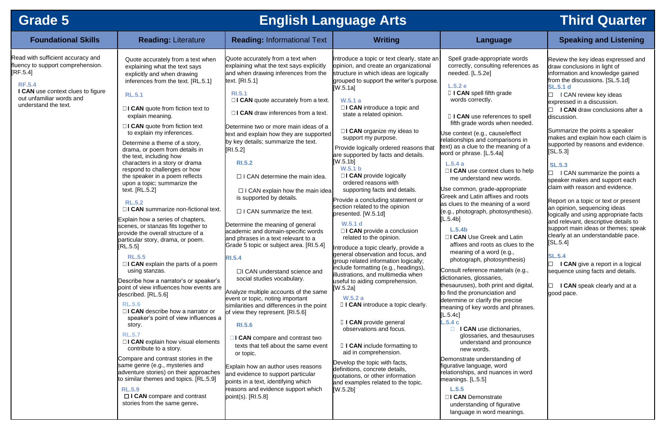# **Grade 5 English Language Arts Third Quarter**

# **Foundational Skills Reading:** Literature **Reading:** Informational Text **Writing Language Speaking and Listening**

strate understanding of figurative language in word meanings.

| <b>Foundational Skills</b>                                                                                                                                                                   | <b>Reading: Literature</b>                                                                                                                                                                                                                                                                                                                                                                                                                                                                                                                                                                                                                                                                                                                                                                                                                                                                                                                                                                                                                                                                                                                                                                       | <b>Reading: Informational Text</b>                                                                                                                                                                                                                                                                                                                                                                                                                                                                                                                                                                                                                                                                                                                                                                                                                                                                                                                                                                                                                                    | <b>Writing</b>                                                                                                                                                                                                                                                                                                                                                                                                                                                                                                                                                                                                                                                                                                                                                                                                                                                                                                                                                                                                                                                                                                                                         | Lan                                                                                                                                                                                                                                                                                                                                                                                                                                                                                                                                                                                                                                                                                                                        |
|----------------------------------------------------------------------------------------------------------------------------------------------------------------------------------------------|--------------------------------------------------------------------------------------------------------------------------------------------------------------------------------------------------------------------------------------------------------------------------------------------------------------------------------------------------------------------------------------------------------------------------------------------------------------------------------------------------------------------------------------------------------------------------------------------------------------------------------------------------------------------------------------------------------------------------------------------------------------------------------------------------------------------------------------------------------------------------------------------------------------------------------------------------------------------------------------------------------------------------------------------------------------------------------------------------------------------------------------------------------------------------------------------------|-----------------------------------------------------------------------------------------------------------------------------------------------------------------------------------------------------------------------------------------------------------------------------------------------------------------------------------------------------------------------------------------------------------------------------------------------------------------------------------------------------------------------------------------------------------------------------------------------------------------------------------------------------------------------------------------------------------------------------------------------------------------------------------------------------------------------------------------------------------------------------------------------------------------------------------------------------------------------------------------------------------------------------------------------------------------------|--------------------------------------------------------------------------------------------------------------------------------------------------------------------------------------------------------------------------------------------------------------------------------------------------------------------------------------------------------------------------------------------------------------------------------------------------------------------------------------------------------------------------------------------------------------------------------------------------------------------------------------------------------------------------------------------------------------------------------------------------------------------------------------------------------------------------------------------------------------------------------------------------------------------------------------------------------------------------------------------------------------------------------------------------------------------------------------------------------------------------------------------------------|----------------------------------------------------------------------------------------------------------------------------------------------------------------------------------------------------------------------------------------------------------------------------------------------------------------------------------------------------------------------------------------------------------------------------------------------------------------------------------------------------------------------------------------------------------------------------------------------------------------------------------------------------------------------------------------------------------------------------|
| Read with sufficient accuracy and<br>fluency to support comprehension.<br>[RF.5.4]<br><b>RF.5.4</b><br>I CAN use context clues to figure<br>out unfamiliar words and<br>understand the text. | Quote accurately from a text when<br>explaining what the text says<br>explicitly and when drawing<br>inferences from the text. [RL.5.1]<br><b>RL.5.1</b><br>$\Box$ I CAN quote from fiction text to<br>explain meaning.<br>$\Box$ <b>CAN</b> quote from fiction text<br>to explain my inferences.<br>Determine a theme of a story,<br>drama, or poem from details in<br>the text, including how<br>characters in a story or drama<br>respond to challenges or how<br>the speaker in a poem reflects<br>upon a topic; summarize the<br>text. [RL.5.2]<br><b>RL.5.2</b><br>$\Box$ I CAN summarize non-fictional text.<br>Explain how a series of chapters,<br>scenes, or stanzas fits together to<br>provide the overall structure of a<br>particular story, drama, or poem.<br>[RL.5.5]<br><b>RL.5.5</b><br>$\Box$ <b>CAN</b> explain the parts of a poem<br>using stanzas.<br>Describe how a narrator's or speaker's<br>point of view influences how events are<br>described. [RL.5.6]<br><b>RL.5.6</b><br>$\Box$ <b>CAN</b> describe how a narrator or<br>speaker's point of view influences a<br>story.<br><b>RL.5.7</b><br>$\Box$ I CAN explain how visual elements<br>contribute to a story. | Quote accurately from a text when<br>explaining what the text says explicitly<br>and when drawing inferences from the<br>text. [RI.5.1]<br><b>RI.5.1</b><br>$\Box$ I CAN quote accurately from a text.<br>$\Box$ I CAN draw inferences from a text.<br>Determine two or more main ideas of a<br>text and explain how they are supported<br>by key details; summarize the text.<br>[RI.5.2]<br><b>RI.5.2</b><br>$\Box$ I CAN determine the main idea.<br>$\Box$ I CAN explain how the main idea<br>is supported by details.<br>$\Box$ I CAN summarize the text.<br>Determine the meaning of general<br>academic and domain-specific words<br>and phrases in a text relevant to a<br>Grade 5 topic or subject area. [RI.5.4]<br><b>RI.5.4</b><br>□I CAN understand science and<br>social studies vocabulary.<br>Analyze multiple accounts of the same<br>event or topic, noting important<br>similarities and differences in the point<br>of view they represent. [RI.5.6]<br><b>RI.5.6</b><br>□ I CAN compare and contrast two<br>texts that tell about the same event | Introduce a topic or text clearly, state an<br>opinion, and create an organizational<br>structure in which ideas are logically<br>grouped to support the writer's purpose.<br>[W.5.1a]<br>W.5.1a<br>$\Box$ <b>CAN</b> introduce a topic and<br>state a related opinion.<br>$\Box$ <b>CAN</b> organize my ideas to<br>support my purpose.<br>Provide logically ordered reasons that<br>are supported by facts and details.<br>[W.5.1b]<br>W.5.1 b<br>$\Box$ <b>CAN</b> provide logically<br>ordered reasons with<br>supporting facts and details.<br>Provide a concluding statement or<br>section related to the opinion<br>presented. [W.5.1d]<br>W.5.1 d<br>$\Box$ <b>CAN</b> provide a conclusion<br>related to the opinion.<br>Introduce a topic clearly, provide a<br>general observation and focus, and<br>group related information logically;<br>include formatting (e.g., headings),<br>illustrations, and multimedia when<br>useful to aiding comprehension.<br>[W.5.2a]<br>W.5.2a<br>$\Box$ I CAN introduce a topic clearly.<br>I I CAN provide general<br>observations and focus.<br>□ I CAN include formatting to<br>aid in comprehension. | Spell grade-app<br>correctly, consu<br>needed. [L.5.2e]<br>L.5.2e<br>I I CAN spell fif<br>words correctly<br>I I CAN use ref<br>fifth grade word<br>Use context (e.g.,<br>relationships and c<br>text) as a clue to th<br>word or phrase. [L.<br>L.5.4a<br>□I CAN use cont<br>me understand<br>Use common, grad<br><b>Greek and Latin af</b><br>as clues to the mea<br>(e.g., photograph,<br>[L.5.4b]<br>L.5.4 <sub>b</sub><br>□I CAN Use Gre<br>affixes and root<br>meaning of a w<br>photograph, ph<br>Consult reference<br>dictionaries, glossa<br>thesauruses), both<br>to find the pronunc<br>determine or clarify<br>meaning of key wo<br>[L.5.4c]<br>L.5.4c<br>I CAN use<br>glossaries,<br>understand<br>new words. |
|                                                                                                                                                                                              | Compare and contrast stories in the<br>same genre (e.g., mysteries and<br>adventure stories) on their approaches<br>to similar themes and topics. [RL.5.9]<br><b>RL.5.9</b><br>$\Box$ I CAN compare and contrast<br>stories from the same genre.                                                                                                                                                                                                                                                                                                                                                                                                                                                                                                                                                                                                                                                                                                                                                                                                                                                                                                                                                 | or topic.<br>Explain how an author uses reasons<br>and evidence to support particular<br>points in a text, identifying which<br>reasons and evidence support which<br>point(s). $[R1.5.8]$                                                                                                                                                                                                                                                                                                                                                                                                                                                                                                                                                                                                                                                                                                                                                                                                                                                                            | Develop the topic with facts,<br>definitions, concrete details,<br>quotations, or other information<br>and examples related to the topic.<br>[W.5.2b]                                                                                                                                                                                                                                                                                                                                                                                                                                                                                                                                                                                                                                                                                                                                                                                                                                                                                                                                                                                                  | Demonstrate unde<br>figurative language<br>relationships, and i<br>meanings. [L.5.5]<br>L.5.5<br>□I CAN Demons<br>understanding                                                                                                                                                                                                                                                                                                                                                                                                                                                                                                                                                                                            |

propriate words ulting references as e]

ifth grade y.

ferences to spell ds when needed.

cause/effect comparisons in the meaning of a ..5.4a]

ntext clues to help d new words.

de-appropriate ffixes and roots eaning of a word photosynthesis).

eek and Latin ots as clues to the word (e.g., hotosynthesis)

materials (e.g., aries, h print and digital, ciation and

fy the precise ords and phrases.

dictionaries. and thesauruses d and pronounce

erstanding of ie, word nuances in word  $\Box$  I CAN review key ideas expressed in a discussion. ☐ **I CAN** draw conclusions after a discussion.

Summarize the points a speaker makes and explain how each claim is supported by reasons and evidence.  $[SL.5.3]$ 

Report on a topic or text or present an opinion, sequencing ideas logically and using appropriate facts and relevant, descriptive details to support main ideas or themes; speak clearly at an understandable pace.  $[SL.5.4]$ 

☐ **I CAN** give a report in a logical sequence using facts and details.

Review the key ideas expressed and draw conclusions in light of information and knowledge gained from the discussions. [SL.5.1d] **SL.5.1 d**

# **SL.5.3**

 $\Box$  I CAN summarize the points a speaker makes and support each claim with reason and evidence.

# **SL.5.4**

☐ **I CAN** speak clearly and at a good pace.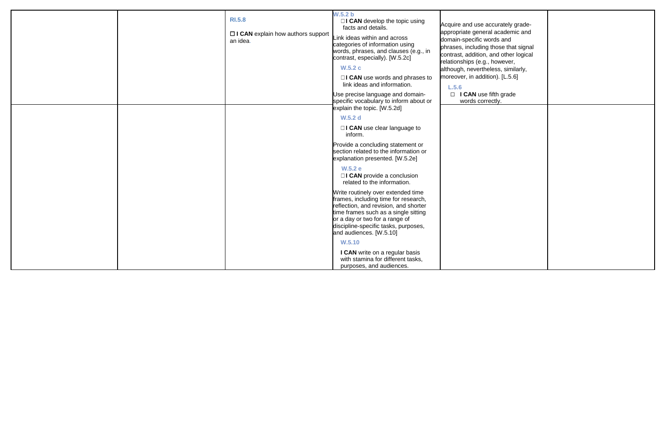|  | <b>RI.5.8</b><br>$\Box$ I CAN explain how authors support<br>an idea. | W.5.2 b<br>$\Box$ <b>CAN</b> develop the topic using<br>facts and details.<br>Link ideas within and across<br>categories of information using<br>words, phrases, and clauses (e.g., in<br>contrast, especially). [W.5.2c]<br>W.5.2c<br>□I CAN use words and phrases to<br>link ideas and information.<br>Use precise language and domain-<br>specific vocabulary to inform about or<br>explain the topic. [W.5.2d] | Acquire and use accurately grade<br>appropriate general academic an<br>domain-specific words and<br>phrases, including those that sigr<br>contrast, addition, and other logic<br>relationships (e.g., however,<br>although, nevertheless, similarly,<br>moreover, in addition). [L.5.6]<br>L.5.6<br>$\Box$ I CAN use fifth grade<br>words correctly. |
|--|-----------------------------------------------------------------------|--------------------------------------------------------------------------------------------------------------------------------------------------------------------------------------------------------------------------------------------------------------------------------------------------------------------------------------------------------------------------------------------------------------------|------------------------------------------------------------------------------------------------------------------------------------------------------------------------------------------------------------------------------------------------------------------------------------------------------------------------------------------------------|
|  |                                                                       | <b>W.5.2 d</b><br>$\Box$ I CAN use clear language to<br>inform.                                                                                                                                                                                                                                                                                                                                                    |                                                                                                                                                                                                                                                                                                                                                      |
|  |                                                                       | Provide a concluding statement or<br>section related to the information or<br>explanation presented. [W.5.2e]                                                                                                                                                                                                                                                                                                      |                                                                                                                                                                                                                                                                                                                                                      |
|  |                                                                       | <b>W.5.2 e</b><br>$\Box$ <b>CAN</b> provide a conclusion<br>related to the information.                                                                                                                                                                                                                                                                                                                            |                                                                                                                                                                                                                                                                                                                                                      |
|  |                                                                       | Write routinely over extended time<br>frames, including time for research,<br>reflection, and revision, and shorter<br>time frames such as a single sitting<br>or a day or two for a range of<br>discipline-specific tasks, purposes,<br>and audiences. [W.5.10]                                                                                                                                                   |                                                                                                                                                                                                                                                                                                                                                      |
|  |                                                                       | W.5.10<br>I CAN write on a regular basis<br>with stamina for different tasks,<br>purposes, and audiences.                                                                                                                                                                                                                                                                                                          |                                                                                                                                                                                                                                                                                                                                                      |

| Acquire and use accurately grade-<br>appropriate general academic and<br>domain-specific words and<br>phrases, including those that signal<br>contrast, addition, and other logical<br>relationships (e.g., however,<br>although, nevertheless, similarly,<br>moreover, in addition). [L.5.6] |  |
|-----------------------------------------------------------------------------------------------------------------------------------------------------------------------------------------------------------------------------------------------------------------------------------------------|--|
| L.5.6<br>$\Box$ I CAN use fifth grade<br>words correctly.                                                                                                                                                                                                                                     |  |
|                                                                                                                                                                                                                                                                                               |  |
|                                                                                                                                                                                                                                                                                               |  |
|                                                                                                                                                                                                                                                                                               |  |
|                                                                                                                                                                                                                                                                                               |  |
|                                                                                                                                                                                                                                                                                               |  |
|                                                                                                                                                                                                                                                                                               |  |
|                                                                                                                                                                                                                                                                                               |  |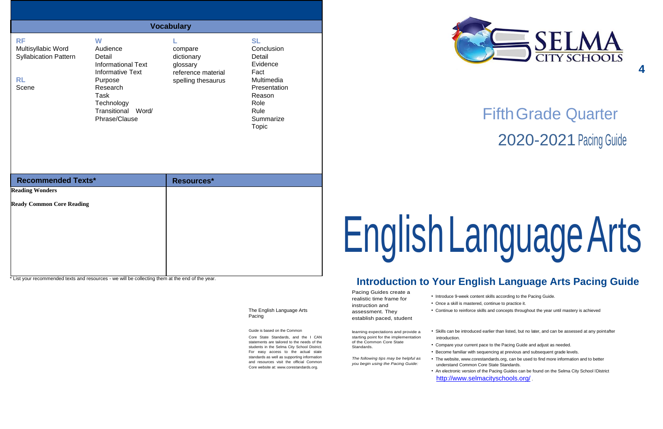**4**

# FifthGrade Quarter 2020-2021 Pacing Guide

# **Inguage Arts**

# **Introduction to Your English Language Arts Pacing Guide**

The English Language Arts Pacing

Pacing Guides create a realistic time frame for instruction and assessment. They establish paced, student

Guide is based on the Common

Core State Standards, and the I CAN statements are tailored to the needs of the students in the Selma City School District. For easy access to the actual state standards as well as supporting information and resources visit the official Common Core website at[: www.corestandards.org.](http://www.corestandards.org/)

learning expectations and provide a starting point for the implementation of the Common Core State Standards.

- Introduce 9-week content skills according to the Pacing Guide.
- Once a skill is mastered, continue to practice it.
- Continue to reinforce skills and concepts throughout the year until mastery is achieved
- introduction.
- Compare your current pace to the Pacing Guide and adjust as needed.
- Become familiar with sequencing at previous and subsequent grade levels.
- The website, [www.corestandards.org,](http://www.corestandards.org/) can be used to find more information and to better understand Common Core State Standards.
- An electronic version of the Pacing Guides can be found on the Selma City School lDistrict <http://www.selmacityschools.org/> .



*The following tips may be helpful as you begin using the Pacing Guide:*

• Skills can be introduced earlier than listed, but no later, and can be assessed at any pointafter

|                                                                                       |                                                                                                                                                                     | <b>Vocabulary</b>                                                             |                                                                                                                                            |            |
|---------------------------------------------------------------------------------------|---------------------------------------------------------------------------------------------------------------------------------------------------------------------|-------------------------------------------------------------------------------|--------------------------------------------------------------------------------------------------------------------------------------------|------------|
| <b>RF</b><br>Multisyllabic Word<br><b>Syllabication Pattern</b><br><b>RL</b><br>Scene | W<br>Audience<br>Detail<br><b>Informational Text</b><br><b>Informative Text</b><br>Purpose<br>Research<br>Task<br>Technology<br>Transitional Word/<br>Phrase/Clause | compare<br>dictionary<br>glossary<br>reference material<br>spelling thesaurus | <b>SL</b><br>Conclusion<br>Detail<br>Evidence<br>Fact<br>Multimedia<br>Presentation<br>Reason<br>Role<br>Rule<br>Summarize<br><b>Topic</b> |            |
| <b>Recommended Texts*</b><br><b>Reading Wonders</b>                                   |                                                                                                                                                                     | Resources*                                                                    |                                                                                                                                            |            |
| <b>Ready Common Core Reading</b>                                                      |                                                                                                                                                                     |                                                                               |                                                                                                                                            | English La |

\* List your recommended texts and resources - we will be collecting them at the end of the year.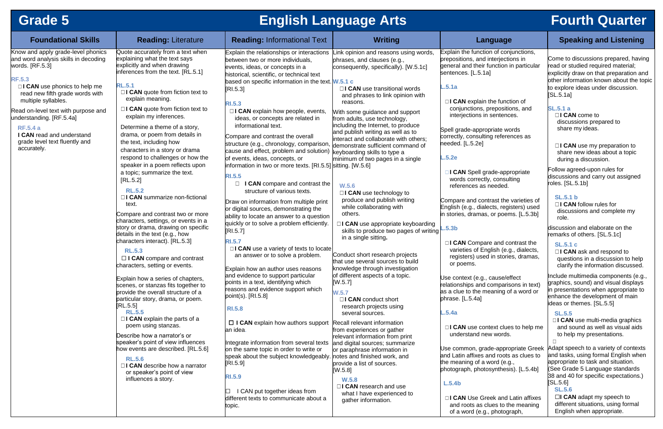# **Grade 5 English Language Arts Fourth Quarter**

| <b>Foundational Skills</b>                                                                                      | <b>Reading: Literature</b>                                                                                                                                           | <b>Reading: Informational Text</b>                                                                                                                                                      | <b>Writing</b>                                                                                                                                 | Language                                                                                                                                                | <b>Speaking and Listening</b>                                                                                                                                                       |
|-----------------------------------------------------------------------------------------------------------------|----------------------------------------------------------------------------------------------------------------------------------------------------------------------|-----------------------------------------------------------------------------------------------------------------------------------------------------------------------------------------|------------------------------------------------------------------------------------------------------------------------------------------------|---------------------------------------------------------------------------------------------------------------------------------------------------------|-------------------------------------------------------------------------------------------------------------------------------------------------------------------------------------|
| Know and apply grade-level phonics<br>and word analysis skills in decoding<br>words. $[RF.5.3]$                 | Quote accurately from a text when<br>explaining what the text says<br>explicitly and when drawing<br>inferences from the text. [RL.5.1]                              | Explain the relationships or interactions<br>between two or more individuals,<br>events, ideas, or concepts in a<br>historical, scientific, or technical text                           | ink opinion and reasons using words,<br>phrases, and clauses (e.g.,<br>consequently, specifically). [W.5.1c]                                   | Explain the function of conjunctions,<br>prepositions, and interjections in<br>general and their function in particular<br>sentences. [L.5.1a]          | Come to discussions prepared, havin<br>read or studied required material;<br>explicitly draw on that preparation an                                                                 |
| <b>RF.5.3</b><br>□I CAN use phonics to help me<br>read new fifth grade words with<br>multiple syllables.        | <b>RL.5.1</b><br>$\Box$ <b>CAN</b> quote from fiction text to<br>explain meaning.                                                                                    | based on specific information in the text. W.5.1 c<br>[R1.5.3]<br><b>RI.5.3</b>                                                                                                         | $\Box$ I CAN use transitional words<br>and phrases to link opinion with<br>reasons.                                                            | L.5.1a<br>$\Box$ I CAN explain the function of                                                                                                          | other information known about the to<br>to explore ideas under discussion.<br>[SL.5.1a]                                                                                             |
| Read on-level text with purpose and<br>understanding. [RF.5.4a]<br><b>RF.5.4 a</b><br>I CAN read and understand | $\Box$ <b>CAN</b> quote from fiction text to<br>explain my inferences.<br>Determine a theme of a story,<br>drama, or poem from details in                            | □ I CAN explain how people, events,<br>ideas, or concepts are related in<br>informational text.<br>Compare and contrast the overall                                                     | With some guidance and support<br>from adults, use technology,<br>including the Internet, to produce<br>and publish writing as well as to      | conjunctions, prepositions, and<br>interjections in sentences.<br>Spell grade-appropriate words<br>correctly, consulting references as                  | <b>SL.5.1 a</b><br>$\Box$ CAN come to<br>discussions prepared to<br>share my ideas.                                                                                                 |
| grade level text fluently and<br>accurately.                                                                    | the text, including how<br>characters in a story or drama<br>respond to challenges or how the<br>speaker in a poem reflects upon                                     | structure (e.g., chronology, comparison,<br>cause and effect, problem and solution)<br>of events, ideas, concepts, or<br>information in two or more texts. [RI.5.5] sitting. [W.5.6]    | interact and collaborate with others;<br>demonstrate sufficient command of<br>keyboarding skills to type a<br>minimum of two pages in a single | needed. [L.5.2e]<br>.5.2e                                                                                                                               | $\Box$ I CAN use my preparation to<br>share new ideas about a topic<br>during a discussion.<br>Follow agreed-upon rules for                                                         |
|                                                                                                                 | a topic; summarize the text.<br>[RL.5.2]<br><b>RL.5.2</b><br>□ I CAN summarize non-fictional                                                                         | <b>RI.5.5</b><br>I CAN compare and contrast the<br>$\Box$<br>structure of various texts.                                                                                                | W.5.6<br>□ I CAN use technology to<br>produce and publish writing                                                                              | I CAN Spell grade-appropriate<br>words correctly, consulting<br>references as needed.<br>Compare and contrast the varieties of                          | discussions and carry out assigned<br>roles. [SL.5.1b]<br><b>SL.5.1 b</b>                                                                                                           |
|                                                                                                                 | text.<br>Compare and contrast two or more<br>characters, settings, or events in a<br>story or drama, drawing on specific                                             | Draw on information from multiple print<br>or digital sources, demonstrating the<br>ability to locate an answer to a question<br>quickly or to solve a problem efficiently.<br>[RL.5.7] | while collaborating with<br>others.<br>$\Box$ I CAN use appropriate keyboarding<br>skills to produce two pages of writing                      | English (e.g., dialects, registers) used<br>in stories, dramas, or poems. [L.5.3b]<br>L.5.3b                                                            | □I CAN follow rules for<br>discussions and complete my<br>role.<br>discussion and elaborate on the                                                                                  |
|                                                                                                                 | details in the text (e.g., how<br>characters interact). [RL.5.3]<br><b>RL.5.3</b><br>□ I CAN compare and contrast<br>characters, setting or events.                  | <b>RI.5.7</b><br>$\Box$ I CAN use a variety of texts to locate<br>an answer or to solve a problem.<br>Explain how an author uses reasons                                                | in a single sitting.<br>Conduct short research projects<br>that use several sources to build<br>knowledge through investigation                | □I CAN Compare and contrast the<br>varieties of English (e.g., dialects,<br>registers) used in stories, dramas,<br>or poems.                            | remarks of others. [SL.5.1c]<br><b>SL.5.1 c</b><br>$\Box$ I CAN ask and respond to<br>questions in a discussion to help<br>clarify the information discussed.                       |
|                                                                                                                 | Explain how a series of chapters,<br>scenes, or stanzas fits together to<br>provide the overall structure of a<br>particular story, drama, or poem.<br>[RL.5.5]      | and evidence to support particular<br>points in a text, identifying which<br>reasons and evidence support which<br>point(s). [RI.5.8]                                                   | of different aspects of a topic.<br>[W.5.7]<br>W.5.7<br>□I CAN conduct short                                                                   | Use context (e.g., cause/effect<br>relationships and comparisons in text)<br>as a clue to the meaning of a word or<br>phrase. [L.5.4a]                  | Include multimedia components (e.g.<br>graphics, sound) and visual displays<br>in presentations when appropriate to<br>enhance the development of main<br>ideas or themes. [SL.5.5] |
|                                                                                                                 | <b>RL.5.5</b><br>$\Box$ <b>CAN</b> explain the parts of a<br>poem using stanzas.<br>Describe how a narrator's or                                                     | <b>RI.5.8</b><br>$\Box$ I CAN explain how authors support<br>an idea.                                                                                                                   | research projects using<br>several sources.<br>Recall relevant information<br>from experiences or gather<br>relevant information from print    | L.5.4a<br>$\Box$ <b>CAN</b> use context clues to help me<br>understand new words.                                                                       | <b>SL.5.5</b><br>$\Box$ I CAN use multi-media graphics<br>and sound as well as visual aids<br>to help my presentations.                                                             |
|                                                                                                                 | speaker's point of view influences<br>how events are described. [RL.5.6]<br><b>RL.5.6</b><br>$\Box$ <b>CAN</b> describe how a narrator<br>or speaker's point of view | Integrate information from several texts<br>on the same topic in order to write or<br>speak about the subject knowledgeably. notes and finished work, and<br>[RI.5.9]                   | and digital sources; summarize<br>or paraphrase information in<br>provide a list of sources.<br>[W.5.8]                                        | Use common, grade-appropriate Greek<br>and Latin affixes and roots as clues to<br>the meaning of a word (e.g.,<br>photograph, photosynthesis). [L.5.4b] | Adapt speech to a variety of contexts<br>and tasks, using formal English wher<br>appropriate to task and situation.<br>(See Grade 5 Language standards                              |
|                                                                                                                 | influences a story.                                                                                                                                                  | <b>RI.5.9</b><br>I CAN put together ideas from<br>different texts to communicate about a<br>topic.                                                                                      | <b>W.5.8</b><br>□I CAN research and use<br>what I have experienced to<br>gather information.                                                   | L.5.4b<br>□I CAN Use Greek and Latin affixes<br>and roots as clues to the meaning                                                                       | 38 and 40 for specific expectations.)<br>[SL.5.6]<br><b>SL.5.6</b><br>$\Box$ CAN adapt my speech to<br>different situations, using formal                                           |

eek and Latin affixes lues to the meaning of a word (e.g., photograph,

Come to discussions prepared, having read or studied required material; explicitly draw on that preparation and other information known about the topic to explore ideas under discussion.  $[SL.5.1a]$ 

# **SL.5.1 b**

# **SL.5.1 c**

# **SL.5.5**

# **SL.5.6**

☐**I CAN** adapt my speech to different situations, using formal English when appropriate.